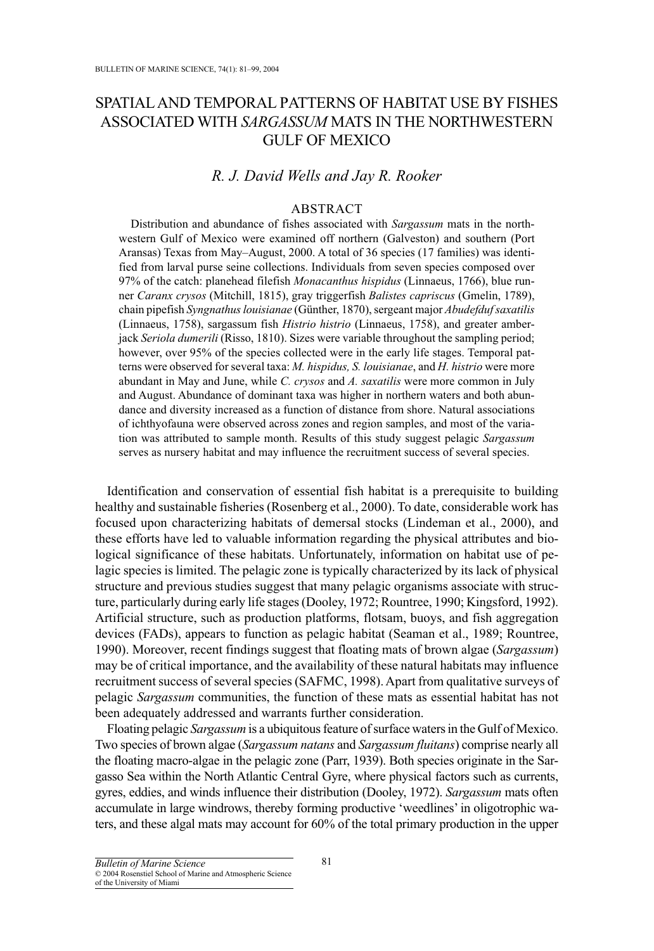# SPATIAL AND TEMPORAL PATTERNS OF HABITAT USE BY FISHES ASSOCIATED WITH *SARGASSUM* MATS IN THE NORTHWESTERN GULF OF MEXICO

# *R. J. David Wells and Jay R. Rooker*

## ABSTRACT

Distribution and abundance of fishes associated with *Sargassum* mats in the northwestern Gulf of Mexico were examined off northern (Galveston) and southern (Port Aransas) Texas from May–August, 2000. A total of 36 species (17 families) was identified from larval purse seine collections. Individuals from seven species composed over 97% of the catch: planehead filefish *Monacanthus hispidus* (Linnaeus, 1766), blue runner *Caranx crysos* (Mitchill, 1815), gray triggerfish *Balistes capriscus* (Gmelin, 1789), chain pipefish *Syngnathus louisianae* (Günther, 1870), sergeant major *Abudefduf saxatilis* (Linnaeus, 1758), sargassum fish *Histrio histrio* (Linnaeus, 1758), and greater amberjack *Seriola dumerili* (Risso, 1810). Sizes were variable throughout the sampling period; however, over 95% of the species collected were in the early life stages. Temporal patterns were observed for several taxa: *M. hispidus, S. louisianae*, and *H. histrio* were more abundant in May and June, while *C. crysos* and *A. saxatilis* were more common in July and August. Abundance of dominant taxa was higher in northern waters and both abundance and diversity increased as a function of distance from shore. Natural associations of ichthyofauna were observed across zones and region samples, and most of the variation was attributed to sample month. Results of this study suggest pelagic *Sargassum* serves as nursery habitat and may influence the recruitment success of several species.

Identification and conservation of essential fish habitat is a prerequisite to building healthy and sustainable fisheries (Rosenberg et al., 2000). To date, considerable work has focused upon characterizing habitats of demersal stocks (Lindeman et al., 2000), and these efforts have led to valuable information regarding the physical attributes and biological significance of these habitats. Unfortunately, information on habitat use of pelagic species is limited. The pelagic zone is typically characterized by its lack of physical structure and previous studies suggest that many pelagic organisms associate with structure, particularly during early life stages (Dooley, 1972; Rountree, 1990; Kingsford, 1992). Artificial structure, such as production platforms, flotsam, buoys, and fish aggregation devices (FADs), appears to function as pelagic habitat (Seaman et al., 1989; Rountree, 1990). Moreover, recent findings suggest that floating mats of brown algae (*Sargassum*) may be of critical importance, and the availability of these natural habitats may influence recruitment success of several species (SAFMC, 1998). Apart from qualitative surveys of pelagic *Sargassum* communities, the function of these mats as essential habitat has not been adequately addressed and warrants further consideration.

Floating pelagic *Sargassum* is a ubiquitous feature of surface waters in the Gulf of Mexico. Two species of brown algae (*Sargassum natans* and *Sargassum fluitans*) comprise nearly all the floating macro-algae in the pelagic zone (Parr, 1939). Both species originate in the Sargasso Sea within the North Atlantic Central Gyre, where physical factors such as currents, gyres, eddies, and winds influence their distribution (Dooley, 1972). *Sargassum* mats often accumulate in large windrows, thereby forming productive 'weedlines' in oligotrophic waters, and these algal mats may account for 60% of the total primary production in the upper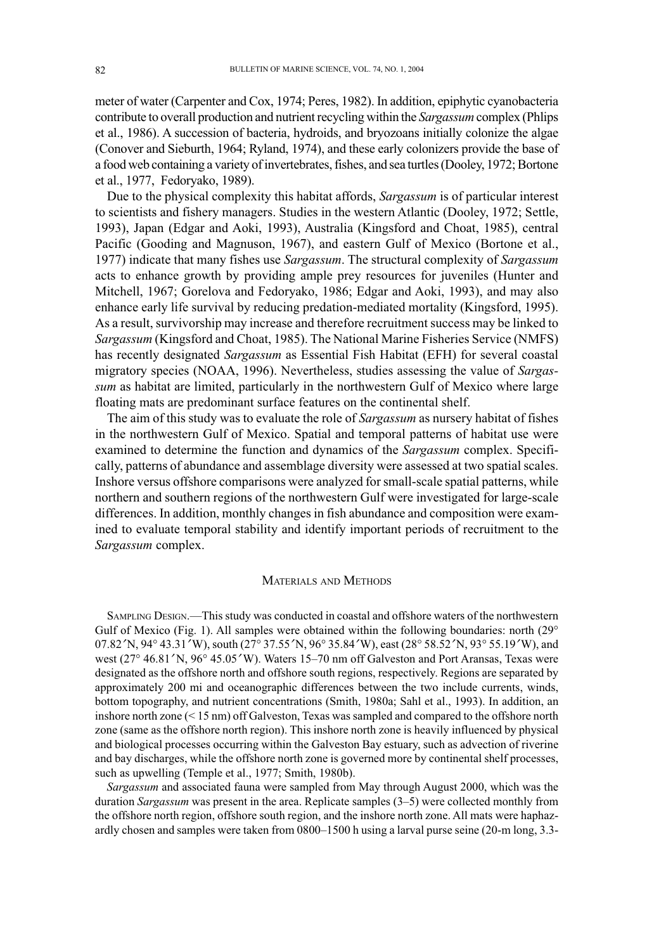meter of water (Carpenter and Cox, 1974; Peres, 1982). In addition, epiphytic cyanobacteria contribute to overall production and nutrient recycling within the *Sargassum* complex (Phlips et al., 1986). A succession of bacteria, hydroids, and bryozoans initially colonize the algae (Conover and Sieburth, 1964; Ryland, 1974), and these early colonizers provide the base of a food web containing a variety of invertebrates, fishes, and sea turtles (Dooley, 1972; Bortone et al., 1977, Fedoryako, 1989).

Due to the physical complexity this habitat affords, *Sargassum* is of particular interest to scientists and fishery managers. Studies in the western Atlantic (Dooley, 1972; Settle, 1993), Japan (Edgar and Aoki, 1993), Australia (Kingsford and Choat, 1985), central Pacific (Gooding and Magnuson, 1967), and eastern Gulf of Mexico (Bortone et al., 1977) indicate that many fishes use *Sargassum*. The structural complexity of *Sargassum* acts to enhance growth by providing ample prey resources for juveniles (Hunter and Mitchell, 1967; Gorelova and Fedoryako, 1986; Edgar and Aoki, 1993), and may also enhance early life survival by reducing predation-mediated mortality (Kingsford, 1995). As a result, survivorship may increase and therefore recruitment success may be linked to *Sargassum* (Kingsford and Choat, 1985). The National Marine Fisheries Service (NMFS) has recently designated *Sargassum* as Essential Fish Habitat (EFH) for several coastal migratory species (NOAA, 1996). Nevertheless, studies assessing the value of *Sargassum* as habitat are limited, particularly in the northwestern Gulf of Mexico where large floating mats are predominant surface features on the continental shelf.

The aim of this study was to evaluate the role of *Sargassum* as nursery habitat of fishes in the northwestern Gulf of Mexico. Spatial and temporal patterns of habitat use were examined to determine the function and dynamics of the *Sargassum* complex. Specifically, patterns of abundance and assemblage diversity were assessed at two spatial scales. Inshore versus offshore comparisons were analyzed for small-scale spatial patterns, while northern and southern regions of the northwestern Gulf were investigated for large-scale differences. In addition, monthly changes in fish abundance and composition were examined to evaluate temporal stability and identify important periods of recruitment to the *Sargassum* complex.

### MATERIALS AND METHODS

SAMPLING DESIGN.—This study was conducted in coastal and offshore waters of the northwestern Gulf of Mexico (Fig. 1). All samples were obtained within the following boundaries: north  $(29^{\circ}$ 07.82 ′N, 94° 43.31 ′W), south (27° 37.55 ′N, 96° 35.84 ′W), east (28° 58.52 ′N, 93° 55.19 ′W), and west (27° 46.81′N, 96° 45.05′W). Waters 15–70 nm off Galveston and Port Aransas, Texas were designated as the offshore north and offshore south regions, respectively. Regions are separated by approximately 200 mi and oceanographic differences between the two include currents, winds, bottom topography, and nutrient concentrations (Smith, 1980a; Sahl et al., 1993). In addition, an inshore north zone (< 15 nm) off Galveston, Texas was sampled and compared to the offshore north zone (same as the offshore north region). This inshore north zone is heavily influenced by physical and biological processes occurring within the Galveston Bay estuary, such as advection of riverine and bay discharges, while the offshore north zone is governed more by continental shelf processes, such as upwelling (Temple et al., 1977; Smith, 1980b).

*Sargassum* and associated fauna were sampled from May through August 2000, which was the duration *Sargassum* was present in the area. Replicate samples (3–5) were collected monthly from the offshore north region, offshore south region, and the inshore north zone. All mats were haphazardly chosen and samples were taken from 0800–1500 h using a larval purse seine (20-m long, 3.3-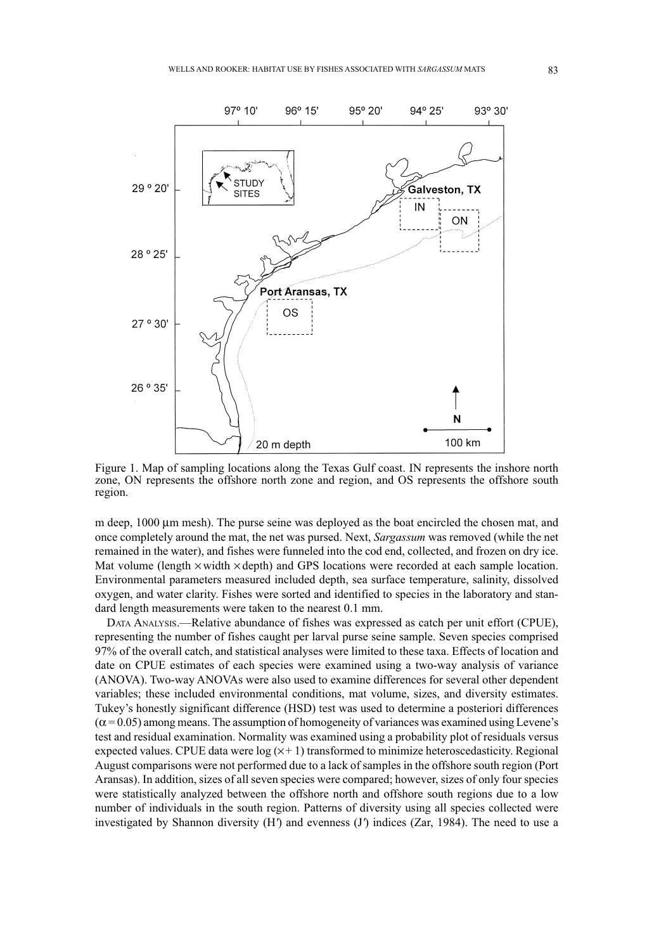

Figure 1. Map of sampling locations along the Texas Gulf coast. IN represents the inshore north zone, ON represents the offshore north zone and region, and OS represents the offshore south region.

m deep, 1000  $\mu$ m mesh). The purse seine was deployed as the boat encircled the chosen mat, and once completely around the mat, the net was pursed. Next, *Sargassum* was removed (while the net remained in the water), and fishes were funneled into the cod end, collected, and frozen on dry ice. Mat volume (length  $\times$  width  $\times$  depth) and GPS locations were recorded at each sample location. Environmental parameters measured included depth, sea surface temperature, salinity, dissolved oxygen, and water clarity. Fishes were sorted and identified to species in the laboratory and standard length measurements were taken to the nearest 0.1 mm.

DATA ANALYSIS.—Relative abundance of fishes was expressed as catch per unit effort (CPUE), representing the number of fishes caught per larval purse seine sample. Seven species comprised 97% of the overall catch, and statistical analyses were limited to these taxa. Effects of location and date on CPUE estimates of each species were examined using a two-way analysis of variance (ANOVA). Two-way ANOVAs were also used to examine differences for several other dependent variables; these included environmental conditions, mat volume, sizes, and diversity estimates. Tukey's honestly significant difference (HSD) test was used to determine a posteriori differences  $(\alpha = 0.05)$  among means. The assumption of homogeneity of variances was examined using Levene's test and residual examination. Normality was examined using a probability plot of residuals versus expected values. CPUE data were  $log(x+1)$  transformed to minimize heteroscedasticity. Regional August comparisons were not performed due to a lack of samples in the offshore south region (Port Aransas). In addition, sizes of all seven species were compared; however, sizes of only four species were statistically analyzed between the offshore north and offshore south regions due to a low number of individuals in the south region. Patterns of diversity using all species collected were investigated by Shannon diversity (H*'*) and evenness (J*'*) indices (Zar, 1984). The need to use a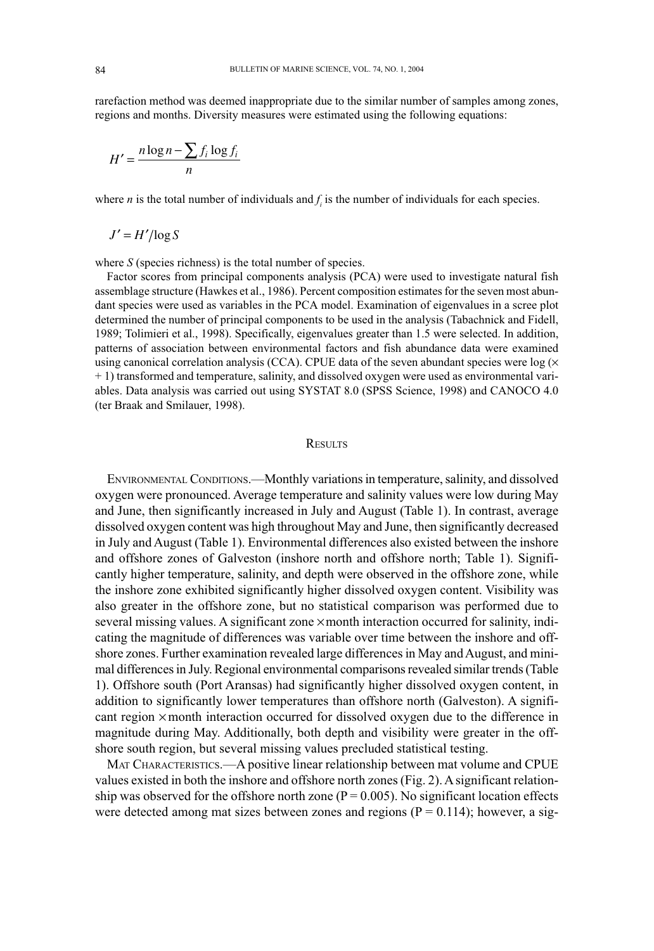rarefaction method was deemed inappropriate due to the similar number of samples among zones, regions and months. Diversity measures were estimated using the following equations:

$$
H' = \frac{n \log n - \sum f_i \log f_i}{n}
$$

where *n* is the total number of individuals and  $f_i$  is the number of individuals for each species.

$$
J'=H'/\log S
$$

where *S* (species richness) is the total number of species.

Factor scores from principal components analysis (PCA) were used to investigate natural fish assemblage structure (Hawkes et al., 1986). Percent composition estimates for the seven most abundant species were used as variables in the PCA model. Examination of eigenvalues in a scree plot determined the number of principal components to be used in the analysis (Tabachnick and Fidell, 1989; Tolimieri et al., 1998). Specifically, eigenvalues greater than 1.5 were selected. In addition, patterns of association between environmental factors and fish abundance data were examined using canonical correlation analysis (CCA). CPUE data of the seven abundant species were log ( $\times$ + 1) transformed and temperature, salinity, and dissolved oxygen were used as environmental variables. Data analysis was carried out using SYSTAT 8.0 (SPSS Science, 1998) and CANOCO 4.0 (ter Braak and Smilauer, 1998).

#### **RESULTS**

ENVIRONMENTAL CONDITIONS.—Monthly variations in temperature, salinity, and dissolved oxygen were pronounced. Average temperature and salinity values were low during May and June, then significantly increased in July and August (Table 1). In contrast, average dissolved oxygen content was high throughout May and June, then significantly decreased in July and August (Table 1). Environmental differences also existed between the inshore and offshore zones of Galveston (inshore north and offshore north; Table 1). Significantly higher temperature, salinity, and depth were observed in the offshore zone, while the inshore zone exhibited significantly higher dissolved oxygen content. Visibility was also greater in the offshore zone, but no statistical comparison was performed due to several missing values. A significant zone  $\times$  month interaction occurred for salinity, indicating the magnitude of differences was variable over time between the inshore and offshore zones. Further examination revealed large differences in May and August, and minimal differences in July. Regional environmental comparisons revealed similar trends (Table 1). Offshore south (Port Aransas) had significantly higher dissolved oxygen content, in addition to significantly lower temperatures than offshore north (Galveston). A significant region ¥ month interaction occurred for dissolved oxygen due to the difference in magnitude during May. Additionally, both depth and visibility were greater in the offshore south region, but several missing values precluded statistical testing.

MAT CHARACTERISTICS.—A positive linear relationship between mat volume and CPUE values existed in both the inshore and offshore north zones (Fig. 2). A significant relationship was observed for the offshore north zone ( $P = 0.005$ ). No significant location effects were detected among mat sizes between zones and regions  $(P = 0.114)$ ; however, a sig-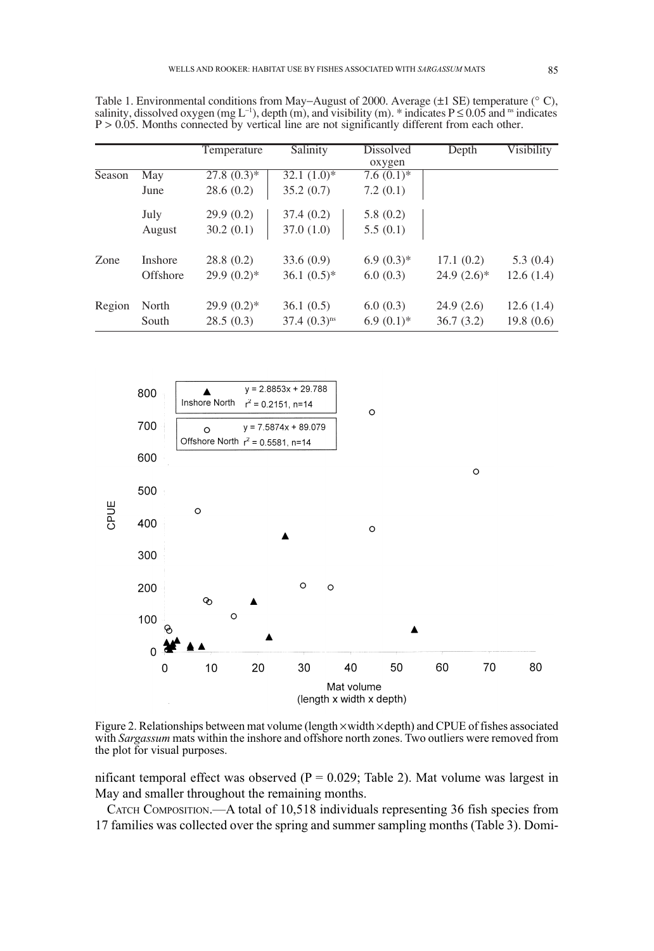|        |                            | Temperature                | Salinity                                | Dissolved<br>oxygen     | Depth                     | Visibility             |
|--------|----------------------------|----------------------------|-----------------------------------------|-------------------------|---------------------------|------------------------|
| Season | May<br>June                | $27.8(0.3)*$<br>28.6(0.2)  | $32.1(1.0)*$<br>35.2(0.7)               | $7.6(0.1)*$<br>7.2(0.1) |                           |                        |
|        | July<br>August             | 29.9(0.2)<br>30.2(0.1)     | 37.4(0.2)<br>37.0(1.0)                  | 5.8(0.2)<br>5.5(0.1)    |                           |                        |
| Zone   | <b>Inshore</b><br>Offshore | 28.8(0.2)<br>$29.9(0.2)$ * | 33.6(0.9)<br>$36.1(0.5)^*$              | $6.9(0.3)*$<br>6.0(0.3) | 17.1(0.2)<br>$24.9(2.6)*$ | 5.3(0.4)<br>12.6(1.4)  |
| Region | North<br>South             | $29.9(0.2)$ *<br>28.5(0.3) | 36.1(0.5)<br>$37.4 (0.3)$ <sup>ns</sup> | 6.0(0.3)<br>$6.9(0.1)*$ | 24.9(2.6)<br>36.7(3.2)    | 12.6(1.4)<br>19.8(0.6) |

Table 1. Environmental conditions from May-August of 2000. Average  $(\pm 1 \text{ SE})$  temperature ( $\degree$  C), salinity, dissolved oxygen (mg L<sup>-1</sup>), depth (m), and visibility (m). \* indicates  $P \le 0.05$  and <sup>ns</sup> indicates  $P > 0.05$ . Months connected by vertical line are not significantly different from each other.



Figure 2. Relationships between mat volume (length  $\times$  width  $\times$  depth) and CPUE of fishes associated with Sargassum mats within the inshore and offshore north zones. Two outliers were removed from the plot for visual purposes.

nificant temporal effect was observed ( $P = 0.029$ ; Table 2). Mat volume was largest in May and smaller throughout the remaining months.

CATCH COMPOSITION.—A total of 10,518 individuals representing 36 fish species from 17 families was collected over the spring and summer sampling months (Table 3). Domi-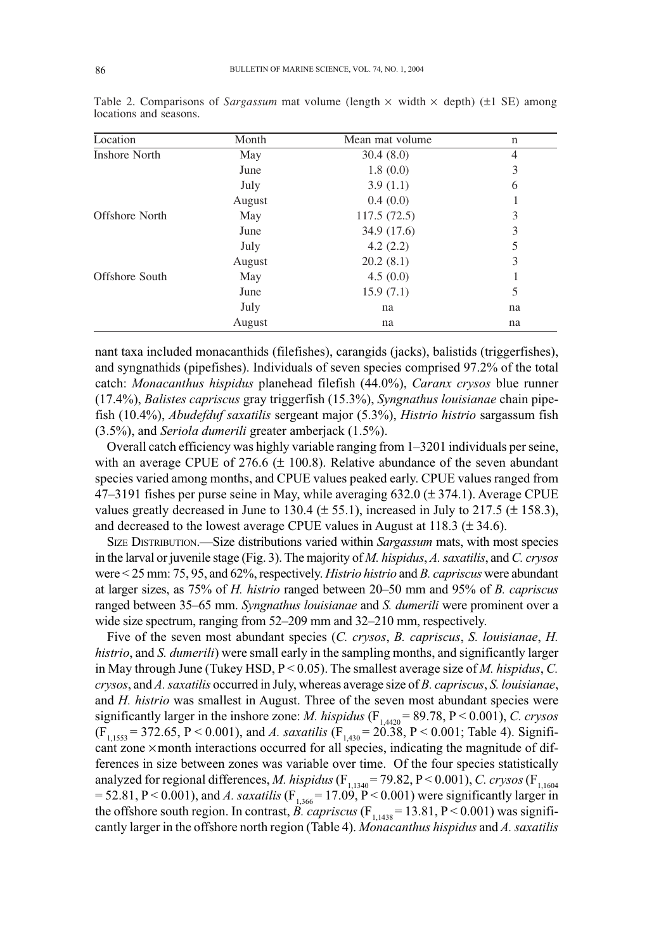| Location       | Month  | Mean mat volume | $\mathbf n$ |
|----------------|--------|-----------------|-------------|
| Inshore North  | May    | 30.4(8.0)       | 4           |
|                | June   | 1.8(0.0)        | 3           |
|                | July   | 3.9(1.1)        | 6           |
|                | August | 0.4(0.0)        |             |
| Offshore North | May    | 117.5(72.5)     | 3           |
|                | June   | 34.9 (17.6)     | 3           |
|                | July   | 4.2(2.2)        | 5           |
|                | August | 20.2(8.1)       | 3           |
| Offshore South | May    | 4.5(0.0)        |             |
|                | June   | 15.9(7.1)       | 5           |
|                | July   | na              | na          |
|                | August | na              | na          |

Table 2. Comparisons of *Sargassum* mat volume (length  $\times$  width  $\times$  depth) ( $\pm$ 1 SE) among locations and seasons.

nant taxa included monacanthids (filefishes), carangids (jacks), balistids (triggerfishes), and syngnathids (pipefishes). Individuals of seven species comprised 97.2% of the total catch: *Monacanthus hispidus* planehead filefish (44.0%), *Caranx crysos* blue runner (17.4%), *Balistes capriscus* gray triggerfish (15.3%), *Syngnathus louisianae* chain pipefish (10.4%), *Abudefduf saxatilis* sergeant major (5.3%), *Histrio histrio* sargassum fish (3.5%), and *Seriola dumerili* greater amberjack (1.5%).

Overall catch efficiency was highly variable ranging from 1–3201 individuals per seine, with an average CPUE of 276.6 ( $\pm$  100.8). Relative abundance of the seven abundant species varied among months, and CPUE values peaked early. CPUE values ranged from  $47-3191$  fishes per purse seine in May, while averaging 632.0 ( $\pm$  374.1). Average CPUE values greatly decreased in June to 130.4 ( $\pm$  55.1), increased in July to 217.5 ( $\pm$  158.3), and decreased to the lowest average CPUE values in August at  $118.3 \ (\pm 34.6)$ .

SIZE DISTRIBUTION.—Size distributions varied within *Sargassum* mats, with most species in the larval or juvenile stage (Fig. 3). The majority of *M. hispidus*, *A. saxatilis*, and *C. crysos* were < 25 mm: 75, 95, and 62%, respectively. *Histrio histrio* and *B. capriscus* were abundant at larger sizes, as 75% of *H. histrio* ranged between 20–50 mm and 95% of *B. capriscus* ranged between 35–65 mm. *Syngnathus louisianae* and *S. dumerili* were prominent over a wide size spectrum, ranging from 52–209 mm and 32–210 mm, respectively.

Five of the seven most abundant species (*C. crysos*, *B. capriscus*, *S. louisianae*, *H. histrio*, and *S. dumerili*) were small early in the sampling months, and significantly larger in May through June (Tukey HSD, P < 0.05). The smallest average size of *M. hispidus*, *C. crysos*, and *A. saxatilis* occurred in July, whereas average size of *B. capriscus*, *S. louisianae*, and *H. histrio* was smallest in August. Three of the seven most abundant species were significantly larger in the inshore zone: *M. hispidus* (F<sub>1,4420</sub> = 89.78, P < 0.001), *C. crysos*  $(F_{1,1553} = 372.65, P < 0.001)$ , and *A. saxatilis*  $(F_{1,430} = 20.38, P < 0.001$ ; Table 4). Significant zone × month interactions occurred for all species, indicating the magnitude of differences in size between zones was variable over time. Of the four species statistically analyzed for regional differences, *M. hispidus* (F<sub>1,1340</sub> = 79.82, P < 0.001), *C. crysos* (F<sub>1,1604</sub>  $= 52.81, P < 0.001$ ), and *A. saxatilis* ( $F_{1,366} = 17.09, P < 0.001$ ) were significantly larger in the offshore south region. In contrast, *B. capriscus* ( $F_{1,1438}$  = 13.81, P < 0.001) was significantly larger in the offshore north region (Table 4). *Monacanthus hispidus* and *A. saxatilis*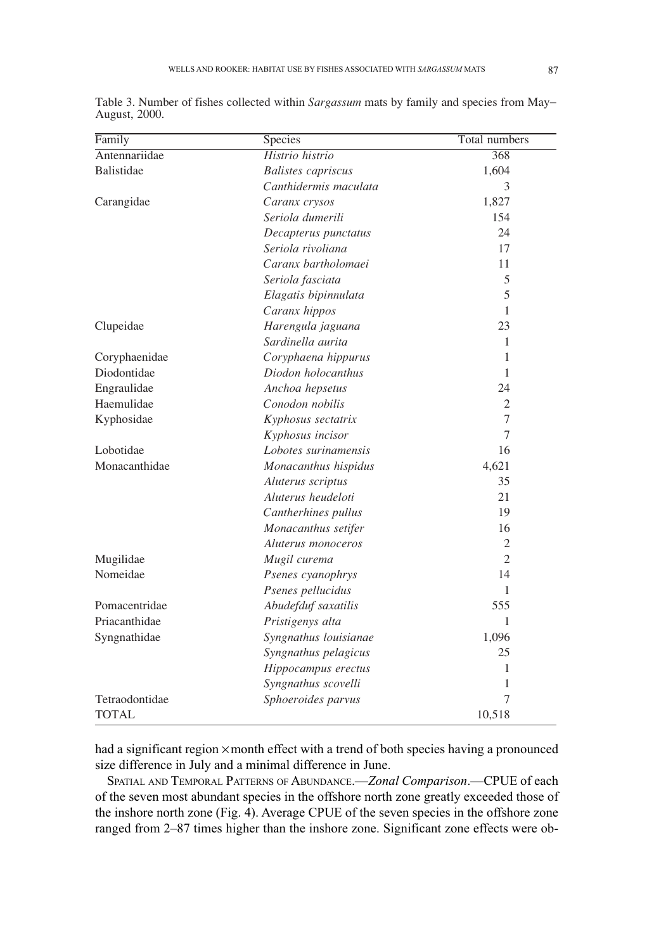| Family         | Species                   | Total numbers  |
|----------------|---------------------------|----------------|
| Antennariidae  | Histrio histrio           | 368            |
| Balistidae     | <b>Balistes</b> capriscus | 1,604          |
|                | Canthidermis maculata     | 3              |
| Carangidae     | Caranx crysos             | 1,827          |
|                | Seriola dumerili          | 154            |
|                | Decapterus punctatus      | 24             |
|                | Seriola rivoliana         | 17             |
|                | Caranx bartholomaei       | 11             |
|                | Seriola fasciata          | 5              |
|                | Elagatis bipinnulata      | 5              |
|                | Caranx hippos             | $\mathbf{1}$   |
| Clupeidae      | Harengula jaguana         | 23             |
|                | Sardinella aurita         | $\mathbf{1}$   |
| Coryphaenidae  | Coryphaena hippurus       | 1              |
| Diodontidae    | Diodon holocanthus        | $\mathbf{1}$   |
| Engraulidae    | Anchoa hepsetus           | 24             |
| Haemulidae     | Conodon nobilis           | $\overline{2}$ |
| Kyphosidae     | Kyphosus sectatrix        | $\overline{7}$ |
|                | Kyphosus incisor          | 7              |
| Lobotidae      | Lobotes surinamensis      | 16             |
| Monacanthidae  | Monacanthus hispidus      | 4,621          |
|                | Aluterus scriptus         | 35             |
|                | Aluterus heudeloti        | 21             |
|                | Cantherhines pullus       | 19             |
|                | Monacanthus setifer       | 16             |
|                | Aluterus monoceros        | 2              |
| Mugilidae      | Mugil curema              | $\overline{2}$ |
| Nomeidae       | Psenes cyanophrys         | 14             |
|                | Psenes pellucidus         | 1              |
| Pomacentridae  | Abudefduf saxatilis       | 555            |
| Priacanthidae  | Pristigenys alta          | $\mathbf{1}$   |
| Syngnathidae   | Syngnathus louisianae     | 1,096          |
|                | Syngnathus pelagicus      | 25             |
|                | Hippocampus erectus       | 1              |
|                | Syngnathus scovelli       | $\mathbf{1}$   |
| Tetraodontidae | Sphoeroides parvus        | 7              |
| TOTAL          |                           | 10,518         |

Table 3. Number of fishes collected within *Sargassum* mats by family and species from May- August, 2000.

had a significant region × month effect with a trend of both species having a pronounced size difference in July and a minimal difference in June.

SPATIAL AND TEMPORAL PATTERNS OF ABUNDANCE.—*Zonal Comparison*.—CPUE of each of the seven most abundant species in the offshore north zone greatly exceeded those of the inshore north zone (Fig. 4). Average CPUE of the seven species in the offshore zone ranged from 2–87 times higher than the inshore zone. Significant zone effects were ob-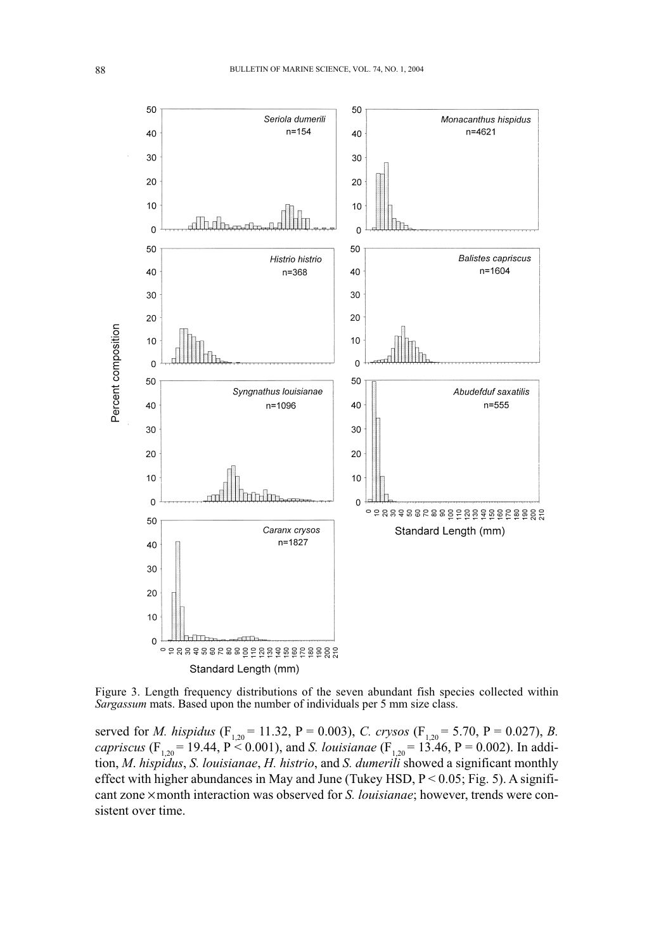

Figure 3. Length frequency distributions of the seven abundant fish species collected within *Sargassum* mats. Based upon the number of individuals per 5 mm size class.

served for *M. hispidus* (F<sub>1,20</sub> = 11.32, P = 0.003), *C. crysos* (F<sub>1,20</sub> = 5.70, P = 0.027), *B. capriscus* (F<sub>1,20</sub> = 19.44, P < 0.001), and *S. louisianae* (F<sub>1,20</sub> = 13.46, P = 0.002). In addition, *M*. *hispidus*, *S. louisianae*, *H. histrio*, and *S. dumerili* showed a significant monthly effect with higher abundances in May and June (Tukey HSD, P < 0.05; Fig. 5). A significant zone ¥ month interaction was observed for *S. louisianae*; however, trends were consistent over time.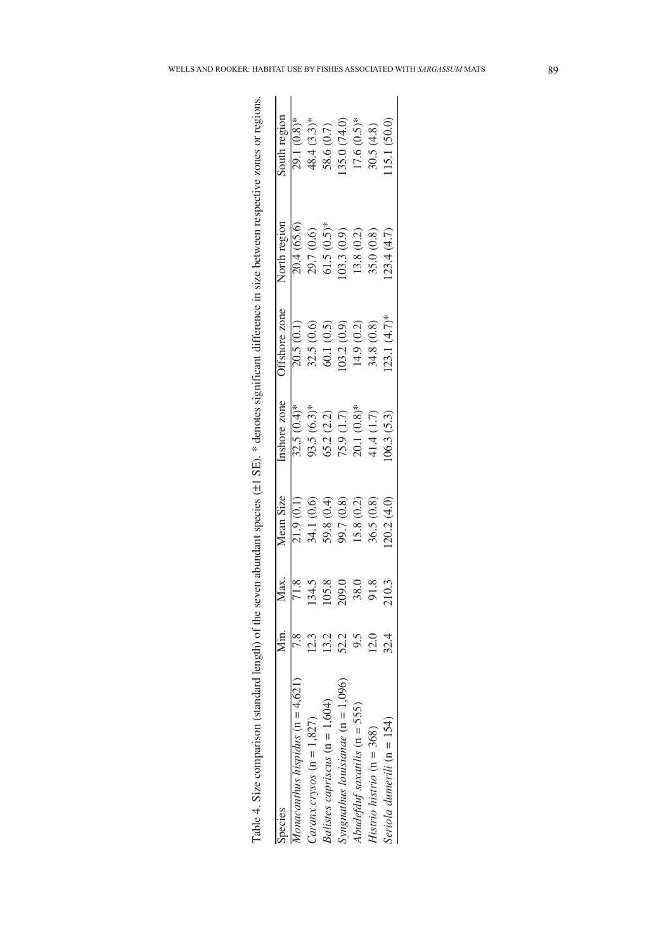| species                              | ∑<br>Min      |       | Mean Size  | Inshore zone  | ffshore zone  | North region | South region   |
|--------------------------------------|---------------|-------|------------|---------------|---------------|--------------|----------------|
| $1$ onacanthus hispidus (n = $4,621$ |               |       | 21.9(0.1)  | $32.5(0.4)$ * | 20.5(0.1)     | 20.4 (65.6)  | 29.1 (0.8)*    |
| Caranx crysos $(n = 1,827)$          | 2.3           | 134.5 | 34.1 (0.6) | 93.5 $(6.3)*$ | 32.5 (0.6)    | 29.7 (0.6)   | $48.4 (3.3)$ * |
| Balistes capriscus $(n = 1, 604)$    | 13.2          | 105.8 | 59.8 (0.4) | 65.2(2.2)     | 60.1(0.5)     | $61.5(0.5)*$ | 58.6 (0.7)     |
| Syngnathus louisianae $(n = 1,096)$  | 52.2          | 209.0 | 99.7 (0.8) | 75.9 (1.7)    | 03.2(0.9)     | 03.3(0.9)    | 35.0 (74.0)    |
| Abudefauf saxatilis ( $n = 555$ )    |               | 38.0  | 15.8 (0.2) | 20.1 (0.8)*   | 14.9 (0.2)    | 13.8 (0.2)   | $17.6(0.5)*$   |
| Histrio histrio ( $n = 368$ )        | $\frac{0}{2}$ | 91.8  | 36.5(0.8)  | 41.4 (1.7)    | 34.8 (0.8)    | 35.0 (0.8)   | 30.5(4.8)      |
| Seriola dumerili ( $n = 154$ )       | 32.4          | 210.3 | 20.2 (4.0) | 06.3 (5.3)    | $23.1(4.7)$ * | 23.4 (4.7)   | 15.1 (50.0)    |

| $\frac{1}{2}$<br>Ş                                                                           |
|----------------------------------------------------------------------------------------------|
|                                                                                              |
| j<br>₫                                                                                       |
| i<br>t<br>l                                                                                  |
| ď                                                                                            |
| ì                                                                                            |
| ļ<br>Î<br>l                                                                                  |
| i<br>ì<br>ı                                                                                  |
| $\ddot{\phantom{0}}$                                                                         |
| 50011                                                                                        |
|                                                                                              |
| j                                                                                            |
| č<br>֧֦֧֦֧֦֧֦֧֦֧֦֧֦֧֦֧֦֧֦֧֦֧ׅ֧֦֧ׅ֧֧ׅ֧֧ׅ֧֛֧֦֧֛֪֧֛֪֧֛֪֧֛֛֪֧֚֚֚֚֚֚֚֚֚֚֚֚֚֚֚֚֚֚֬֘֝֘֝֜֓֜֓֓֞֝֬֜֓֜֓ |
| i<br>î                                                                                       |
| ţ<br>j<br>Ï                                                                                  |
| ١<br>ļ                                                                                       |
| i                                                                                            |
| j                                                                                            |
|                                                                                              |
| Š<br>j<br>ì                                                                                  |
| ļ<br>ì<br>į                                                                                  |
| J<br>j                                                                                       |
| j<br>ă                                                                                       |
| )<br>)<br>ł                                                                                  |
| č<br>į                                                                                       |
| J<br>Í                                                                                       |
|                                                                                              |
|                                                                                              |
| j                                                                                            |
| $\frac{1}{1}$<br>ł                                                                           |
|                                                                                              |
| j<br>i                                                                                       |
| ļ<br>į                                                                                       |
| l                                                                                            |
| í                                                                                            |
|                                                                                              |
| j                                                                                            |
|                                                                                              |
| -rol.<br>j<br>I                                                                              |
| j                                                                                            |
|                                                                                              |
| j                                                                                            |
| ¢<br>i                                                                                       |
| į<br>i                                                                                       |
| ľ<br>ţ<br>ׇ֚֬֕֡                                                                              |
| i<br>í<br>j                                                                                  |
|                                                                                              |
| stand                                                                                        |
| ׇ֚֬֡<br>Ï<br>J                                                                               |
| ţ<br>Ĭ                                                                                       |
| ļ<br>ì<br>١<br>l                                                                             |
| $\overline{\phantom{a}}$<br>į<br>ł<br>J                                                      |
| j<br>l<br>l                                                                                  |
| į<br>Ì<br>l<br>2                                                                             |
|                                                                                              |
| ֡֡֡֡֡֡<br>Ę<br>j<br>ē                                                                        |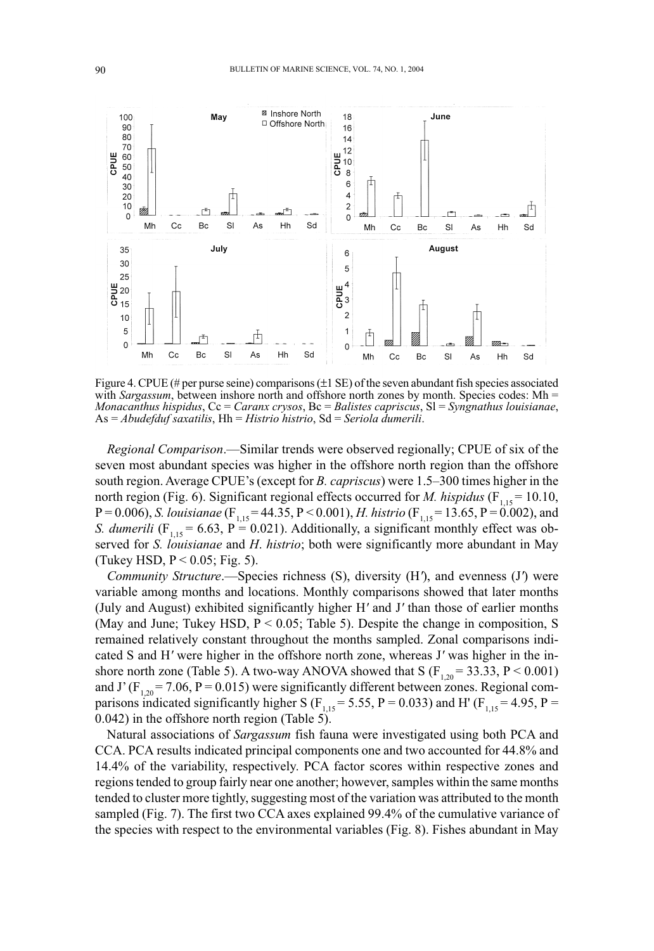

Figure 4. CPUE (# per purse seine) comparisons  $(\pm 1 \text{ SE})$  of the seven abundant fish species associated with *Sargassum*, between inshore north and offshore north zones by month. Species codes: Mh = *Monacanthus hispidus*, Cc = *Caranx crysos*, Bc = *Balistes capriscus*, Sl = *Syngnathus louisianae*, As = *Abudefduf saxatilis*, Hh = *Histrio histrio*, Sd = *Seriola dumerili*.

*Regional Comparison*.—Similar trends were observed regionally; CPUE of six of the seven most abundant species was higher in the offshore north region than the offshore south region. Average CPUE's (except for *B. capriscus*) were 1.5–300 times higher in the north region (Fig. 6). Significant regional effects occurred for *M. hispidus* ( $F_{1,15} = 10.10$ , P = 0.006), *S. louisianae* (F<sub>1,15</sub> = 44.35, P < 0.001), *H. histrio* (F<sub>1,15</sub> = 13.65, P = 0.002), and *S. dumerili* ( $F_{1,15} = 6.63$ ,  $P = 0.021$ ). Additionally, a significant monthly effect was observed for *S. louisianae* and *H*. *histrio*; both were significantly more abundant in May (Tukey HSD,  $P < 0.05$ ; Fig. 5).

*Community Structure*.—Species richness (S), diversity (H*'*), and evenness (J*'*) were variable among months and locations. Monthly comparisons showed that later months (July and August) exhibited significantly higher H*'* and J*'* than those of earlier months (May and June; Tukey HSD,  $P < 0.05$ ; Table 5). Despite the change in composition, S remained relatively constant throughout the months sampled. Zonal comparisons indicated S and H*'* were higher in the offshore north zone, whereas J*'* was higher in the inshore north zone (Table 5). A two-way ANOVA showed that S ( $F_{1,20} = 33.33$ , P < 0.001) and J' ( $F_{1,20}$  = 7.06, P = 0.015) were significantly different between zones. Regional comparisons indicated significantly higher S ( $F_{1,15}$  = 5.55, P = 0.033) and H' ( $F_{1,15}$  = 4.95, P = 0.042) in the offshore north region (Table 5).

Natural associations of *Sargassum* fish fauna were investigated using both PCA and CCA. PCA results indicated principal components one and two accounted for 44.8% and 14.4% of the variability, respectively. PCA factor scores within respective zones and regions tended to group fairly near one another; however, samples within the same months tended to cluster more tightly, suggesting most of the variation was attributed to the month sampled (Fig. 7). The first two CCA axes explained 99.4% of the cumulative variance of the species with respect to the environmental variables (Fig. 8). Fishes abundant in May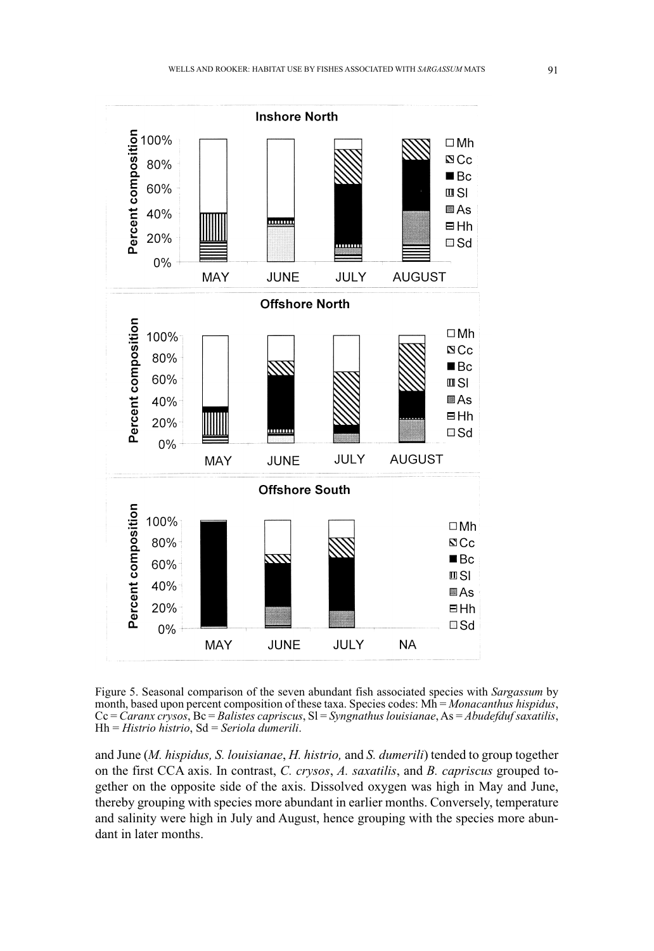

Figure 5. Seasonal comparison of the seven abundant fish associated species with *Sargassum* by month, based upon percent composition of these taxa. Species codes: Mh = *Monacanthus hispidus*, Cc = *Caranx crysos*, Bc = *Balistes capriscus*, Sl = *Syngnathus louisianae*, As = *Abudefduf saxatilis*, Hh = *Histrio histrio*, Sd = *Seriola dumerili*.

and June (*M. hispidus, S. louisianae*, *H. histrio,* and *S. dumerili*) tended to group together on the first CCA axis. In contrast, *C. crysos*, *A. saxatilis*, and *B. capriscus* grouped together on the opposite side of the axis. Dissolved oxygen was high in May and June, thereby grouping with species more abundant in earlier months. Conversely, temperature and salinity were high in July and August, hence grouping with the species more abundant in later months.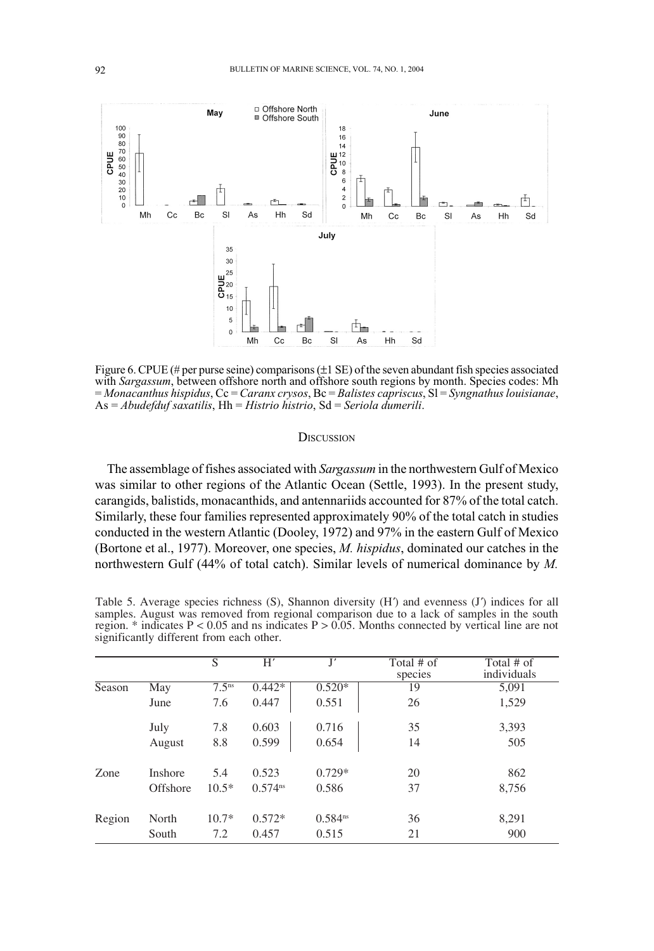

Figure 6. CPUE (# per purse seine) comparisons  $(\pm 1 \text{ SE})$  of the seven abundant fish species associated with Sargassum, between offshore north and offshore south regions by month. Species codes: Mh = Monacanthus hispidus, Cc = Caranx crysos, Bc = Balistes capriscus, Sl = Syngnathus louisianae,  $As = Abudefduf$  saxatilis,  $Hh = Histrio histrio$ ,  $Sd = Seriola dumerili$ .

## **DISCUSSION**

The assemblage of fishes associated with Sargassum in the northwestern Gulf of Mexico was similar to other regions of the Atlantic Ocean (Settle, 1993). In the present study, carangids, balistids, monacanthids, and antennariids accounted for 87% of the total catch. Similarly, these four families represented approximately 90% of the total catch in studies conducted in the western Atlantic (Dooley, 1972) and 97% in the eastern Gulf of Mexico (Bortone et al., 1977). Moreover, one species, *M. hispidus*, dominated our catches in the northwestern Gulf (44% of total catch). Similar levels of numerical dominance by M.

| Table 5. Average species richness (S), Shannon diversity (H) and evenness (J) indices for all<br>samples. August was removed from regional comparison due to a lack of samples in the south<br>region. * indicates $P < 0.05$ and ns indicates $P > 0.05$ . Months connected by vertical line are not<br>significantly different from each other. |  |            |            |
|---------------------------------------------------------------------------------------------------------------------------------------------------------------------------------------------------------------------------------------------------------------------------------------------------------------------------------------------------|--|------------|------------|
|                                                                                                                                                                                                                                                                                                                                                   |  |            |            |
|                                                                                                                                                                                                                                                                                                                                                   |  | Total # of | Total # of |

|        |                | $\overline{S}$    | H'           | J'           | Total # $\overline{of}$ | Total # of  |
|--------|----------------|-------------------|--------------|--------------|-------------------------|-------------|
|        |                |                   |              |              | species                 | individuals |
| Season | May            | 7.5 <sup>ns</sup> | $0.442*$     | $0.520*$     | 19                      | 5,091       |
|        | June           | 7.6               | 0.447        | 0.551        | 26                      | 1,529       |
|        | July           | 7.8               | 0.603        | 0.716        | 35                      | 3,393       |
|        | August         | 8.8               | 0.599        | 0.654        | 14                      | 505         |
| Zone   | <b>Inshore</b> | 5.4               | 0.523        | $0.729*$     | 20                      | 862         |
|        | Offshore       | $10.5*$           | $0.574^{ns}$ | 0.586        | 37                      | 8,756       |
| Region | North          | $10.7*$           | $0.572*$     | $0.584^{ns}$ | 36                      | 8,291       |
|        | South          | 7.2               | 0.457        | 0.515        | 21                      | 900         |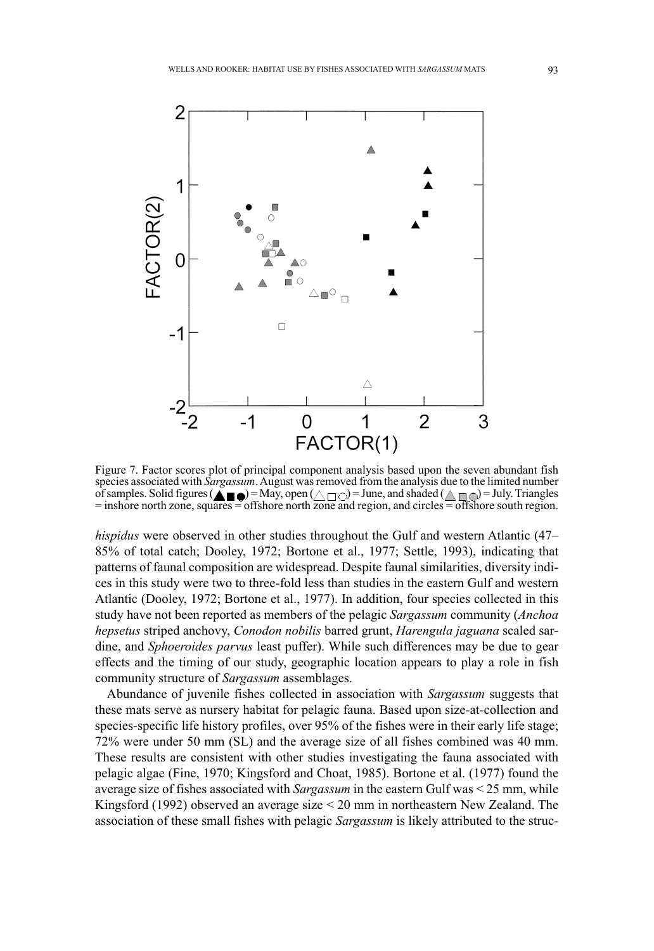

Figure 7. Factor scores plot of principal component analysis based upon the seven abundant fish species associated with *Sargassum*. August was removed from the analysis due to the limited number of samples. Solid figures ( $\triangle \ \blacksquare$ ) = May, open ( $\wedge \sqcap \cap$ ) = June, and shaded ( $\wedge \sqcap \cap$ ) = July. Triangles  $=$  inshore north zone, squares  $=$  offshore north zone and region, and circles  $=$  offshore south region.

*hispidus* were observed in other studies throughout the Gulf and western Atlantic (47– 85% of total catch; Dooley, 1972; Bortone et al., 1977; Settle, 1993), indicating that patterns of faunal composition are widespread. Despite faunal similarities, diversity indices in this study were two to three-fold less than studies in the eastern Gulf and western Atlantic (Dooley, 1972; Bortone et al., 1977). In addition, four species collected in this study have not been reported as members of the pelagic *Sargassum* community (*Anchoa hepsetus* striped anchovy, *Conodon nobilis* barred grunt, *Harengula jaguana* scaled sardine, and *Sphoeroides parvus* least puffer). While such differences may be due to gear effects and the timing of our study, geographic location appears to play a role in fish community structure of *Sargassum* assemblages.

Abundance of juvenile fishes collected in association with *Sargassum* suggests that these mats serve as nursery habitat for pelagic fauna. Based upon size-at-collection and species-specific life history profiles, over 95% of the fishes were in their early life stage; 72% were under 50 mm (SL) and the average size of all fishes combined was 40 mm. These results are consistent with other studies investigating the fauna associated with pelagic algae (Fine, 1970; Kingsford and Choat, 1985). Bortone et al. (1977) found the average size of fishes associated with *Sargassum* in the eastern Gulf was < 25 mm, while Kingsford (1992) observed an average size < 20 mm in northeastern New Zealand. The association of these small fishes with pelagic *Sargassum* is likely attributed to the struc-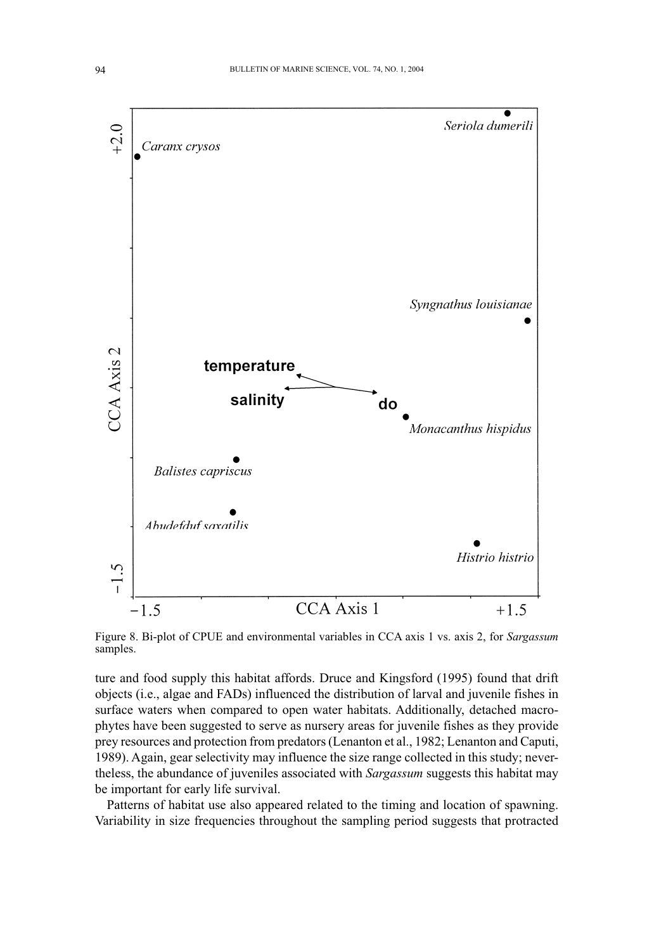

Figure 8. Bi-plot of CPUE and environmental variables in CCA axis 1 vs. axis 2, for *Sargassum* samples.

ture and food supply this habitat affords. Druce and Kingsford (1995) found that drift objects (i.e., algae and FADs) influenced the distribution of larval and juvenile fishes in surface waters when compared to open water habitats. Additionally, detached macrophytes have been suggested to serve as nursery areas for juvenile fishes as they provide prey resources and protection from predators (Lenanton et al., 1982; Lenanton and Caputi, 1989). Again, gear selectivity may influence the size range collected in this study; nevertheless, the abundance of juveniles associated with *Sargassum* suggests this habitat may be important for early life survival.

Patterns of habitat use also appeared related to the timing and location of spawning. Variability in size frequencies throughout the sampling period suggests that protracted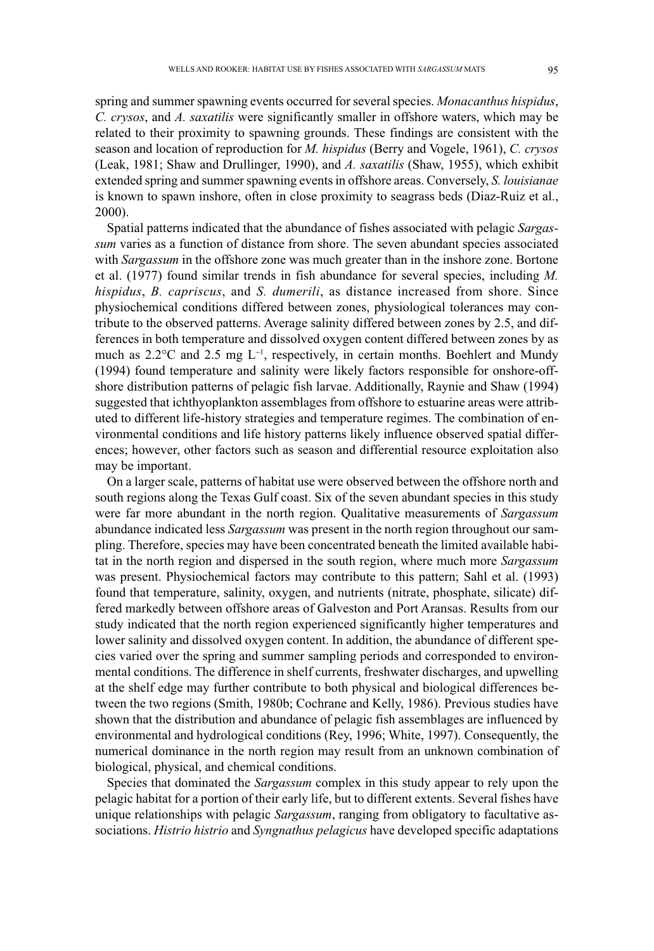spring and summer spawning events occurred for several species. *Monacanthus hispidus*, *C. crysos*, and *A. saxatilis* were significantly smaller in offshore waters, which may be related to their proximity to spawning grounds. These findings are consistent with the season and location of reproduction for *M. hispidus* (Berry and Vogele, 1961), *C. crysos* (Leak, 1981; Shaw and Drullinger, 1990), and *A. saxatilis* (Shaw, 1955), which exhibit extended spring and summer spawning events in offshore areas. Conversely, *S. louisianae* is known to spawn inshore, often in close proximity to seagrass beds (Diaz-Ruiz et al., 2000).

Spatial patterns indicated that the abundance of fishes associated with pelagic *Sargassum* varies as a function of distance from shore. The seven abundant species associated with *Sargassum* in the offshore zone was much greater than in the inshore zone. Bortone et al. (1977) found similar trends in fish abundance for several species, including *M. hispidus*, *B. capriscus*, and *S. dumerili*, as distance increased from shore. Since physiochemical conditions differed between zones, physiological tolerances may contribute to the observed patterns. Average salinity differed between zones by 2.5, and differences in both temperature and dissolved oxygen content differed between zones by as much as 2.2∞C and 2.5 mg L-<sup>1</sup> , respectively, in certain months. Boehlert and Mundy (1994) found temperature and salinity were likely factors responsible for onshore-offshore distribution patterns of pelagic fish larvae. Additionally, Raynie and Shaw (1994) suggested that ichthyoplankton assemblages from offshore to estuarine areas were attributed to different life-history strategies and temperature regimes. The combination of environmental conditions and life history patterns likely influence observed spatial differences; however, other factors such as season and differential resource exploitation also may be important.

On a larger scale, patterns of habitat use were observed between the offshore north and south regions along the Texas Gulf coast. Six of the seven abundant species in this study were far more abundant in the north region. Qualitative measurements of *Sargassum* abundance indicated less *Sargassum* was present in the north region throughout our sampling. Therefore, species may have been concentrated beneath the limited available habitat in the north region and dispersed in the south region, where much more *Sargassum* was present. Physiochemical factors may contribute to this pattern; Sahl et al. (1993) found that temperature, salinity, oxygen, and nutrients (nitrate, phosphate, silicate) differed markedly between offshore areas of Galveston and Port Aransas. Results from our study indicated that the north region experienced significantly higher temperatures and lower salinity and dissolved oxygen content. In addition, the abundance of different species varied over the spring and summer sampling periods and corresponded to environmental conditions. The difference in shelf currents, freshwater discharges, and upwelling at the shelf edge may further contribute to both physical and biological differences between the two regions (Smith, 1980b; Cochrane and Kelly, 1986). Previous studies have shown that the distribution and abundance of pelagic fish assemblages are influenced by environmental and hydrological conditions (Rey, 1996; White, 1997). Consequently, the numerical dominance in the north region may result from an unknown combination of biological, physical, and chemical conditions.

Species that dominated the *Sargassum* complex in this study appear to rely upon the pelagic habitat for a portion of their early life, but to different extents. Several fishes have unique relationships with pelagic *Sargassum*, ranging from obligatory to facultative associations. *Histrio histrio* and *Syngnathus pelagicus* have developed specific adaptations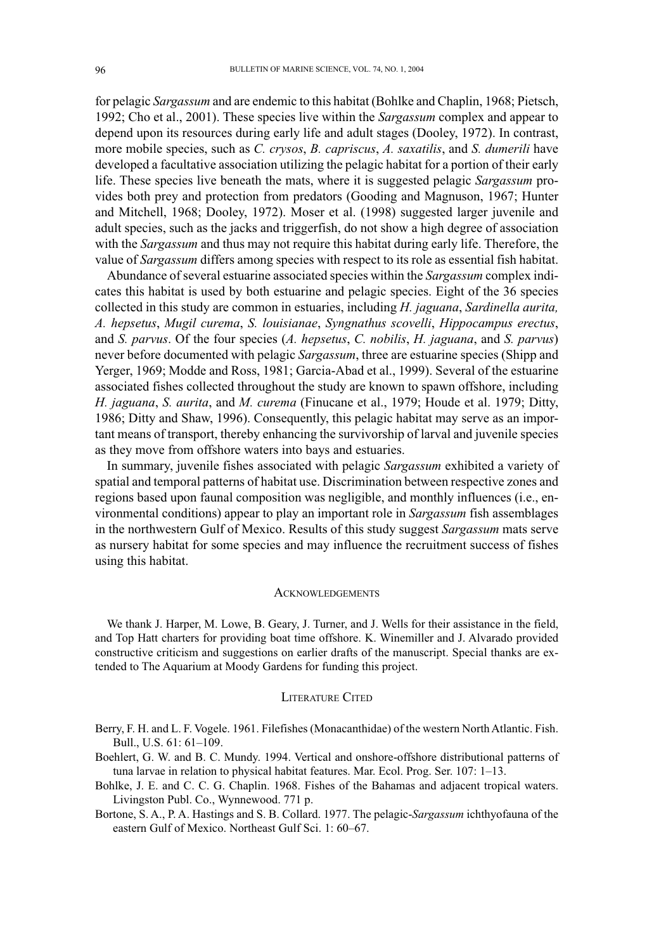for pelagic *Sargassum* and are endemic to this habitat (Bohlke and Chaplin, 1968; Pietsch, 1992; Cho et al., 2001). These species live within the *Sargassum* complex and appear to depend upon its resources during early life and adult stages (Dooley, 1972). In contrast, more mobile species, such as *C. crysos*, *B. capriscus*, *A. saxatilis*, and *S. dumerili* have developed a facultative association utilizing the pelagic habitat for a portion of their early life. These species live beneath the mats, where it is suggested pelagic *Sargassum* provides both prey and protection from predators (Gooding and Magnuson, 1967; Hunter and Mitchell, 1968; Dooley, 1972). Moser et al. (1998) suggested larger juvenile and adult species, such as the jacks and triggerfish, do not show a high degree of association with the *Sargassum* and thus may not require this habitat during early life. Therefore, the value of *Sargassum* differs among species with respect to its role as essential fish habitat.

Abundance of several estuarine associated species within the *Sargassum* complex indicates this habitat is used by both estuarine and pelagic species. Eight of the 36 species collected in this study are common in estuaries, including *H. jaguana*, *Sardinella aurita, A. hepsetus*, *Mugil curema*, *S. louisianae*, *Syngnathus scovelli*, *Hippocampus erectus*, and *S. parvus*. Of the four species (*A. hepsetus*, *C. nobilis*, *H. jaguana*, and *S. parvus*) never before documented with pelagic *Sargassum*, three are estuarine species (Shipp and Yerger, 1969; Modde and Ross, 1981; Garcia-Abad et al., 1999). Several of the estuarine associated fishes collected throughout the study are known to spawn offshore, including *H. jaguana*, *S. aurita*, and *M. curema* (Finucane et al., 1979; Houde et al. 1979; Ditty, 1986; Ditty and Shaw, 1996). Consequently, this pelagic habitat may serve as an important means of transport, thereby enhancing the survivorship of larval and juvenile species as they move from offshore waters into bays and estuaries.

In summary, juvenile fishes associated with pelagic *Sargassum* exhibited a variety of spatial and temporal patterns of habitat use. Discrimination between respective zones and regions based upon faunal composition was negligible, and monthly influences (i.e., environmental conditions) appear to play an important role in *Sargassum* fish assemblages in the northwestern Gulf of Mexico. Results of this study suggest *Sargassum* mats serve as nursery habitat for some species and may influence the recruitment success of fishes using this habitat.

#### **ACKNOWLEDGEMENTS**

We thank J. Harper, M. Lowe, B. Geary, J. Turner, and J. Wells for their assistance in the field, and Top Hatt charters for providing boat time offshore. K. Winemiller and J. Alvarado provided constructive criticism and suggestions on earlier drafts of the manuscript. Special thanks are extended to The Aquarium at Moody Gardens for funding this project.

#### LITERATURE CITED

Berry, F. H. and L. F. Vogele. 1961. Filefishes (Monacanthidae) of the western North Atlantic. Fish. Bull., U.S. 61: 61–109.

Boehlert, G. W. and B. C. Mundy. 1994. Vertical and onshore-offshore distributional patterns of tuna larvae in relation to physical habitat features. Mar. Ecol. Prog. Ser. 107: 1–13.

Bohlke, J. E. and C. C. G. Chaplin. 1968. Fishes of the Bahamas and adjacent tropical waters. Livingston Publ. Co., Wynnewood. 771 p.

Bortone, S. A., P. A. Hastings and S. B. Collard. 1977. The pelagic-*Sargassum* ichthyofauna of the eastern Gulf of Mexico. Northeast Gulf Sci. 1: 60–67.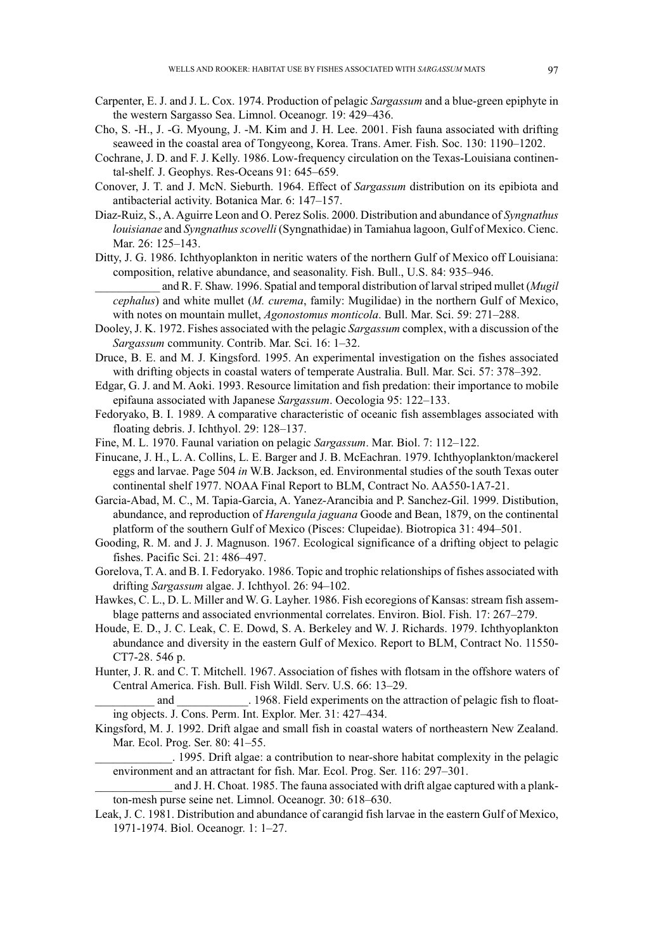- Carpenter, E. J. and J. L. Cox. 1974. Production of pelagic *Sargassum* and a blue-green epiphyte in the western Sargasso Sea. Limnol. Oceanogr. 19: 429–436.
- Cho, S. -H., J. -G. Myoung, J. -M. Kim and J. H. Lee. 2001. Fish fauna associated with drifting seaweed in the coastal area of Tongyeong, Korea. Trans. Amer. Fish. Soc. 130: 1190–1202.
- Cochrane, J. D. and F. J. Kelly. 1986. Low-frequency circulation on the Texas-Louisiana continental-shelf. J. Geophys. Res-Oceans 91: 645–659.
- Conover, J. T. and J. McN. Sieburth. 1964. Effect of *Sargassum* distribution on its epibiota and antibacterial activity. Botanica Mar. 6: 147–157.
- Diaz-Ruiz, S., A. Aguirre Leon and O. Perez Solis. 2000. Distribution and abundance of *Syngnathus louisianae* and *Syngnathus scovelli* (Syngnathidae) in Tamiahua lagoon, Gulf of Mexico. Cienc. Mar. 26: 125–143.
- Ditty, J. G. 1986. Ichthyoplankton in neritic waters of the northern Gulf of Mexico off Louisiana: composition, relative abundance, and seasonality. Fish. Bull., U.S. 84: 935–946.

\_\_\_\_\_\_\_\_\_\_\_ and R. F. Shaw. 1996. Spatial and temporal distribution of larval striped mullet (*Mugil cephalus*) and white mullet (*M. curema*, family: Mugilidae) in the northern Gulf of Mexico, with notes on mountain mullet, *Agonostomus monticola*. Bull. Mar. Sci. 59: 271–288.

- Dooley, J. K. 1972. Fishes associated with the pelagic *Sargassum* complex, with a discussion of the *Sargassum* community. Contrib. Mar. Sci. 16: 1–32.
- Druce, B. E. and M. J. Kingsford. 1995. An experimental investigation on the fishes associated with drifting objects in coastal waters of temperate Australia. Bull. Mar. Sci. 57: 378–392.
- Edgar, G. J. and M. Aoki. 1993. Resource limitation and fish predation: their importance to mobile epifauna associated with Japanese *Sargassum*. Oecologia 95: 122–133.
- Fedoryako, B. I. 1989. A comparative characteristic of oceanic fish assemblages associated with floating debris. J. Ichthyol. 29: 128–137.
- Fine, M. L. 1970. Faunal variation on pelagic *Sargassum*. Mar. Biol. 7: 112–122.
- Finucane, J. H., L. A. Collins, L. E. Barger and J. B. McEachran. 1979. Ichthyoplankton/mackerel eggs and larvae. Page 504 *in* W.B. Jackson, ed. Environmental studies of the south Texas outer continental shelf 1977. NOAA Final Report to BLM, Contract No. AA550-1A7-21.
- Garcia-Abad, M. C., M. Tapia-Garcia, A. Yanez-Arancibia and P. Sanchez-Gil. 1999. Distibution, abundance, and reproduction of *Harengula jaguana* Goode and Bean, 1879, on the continental platform of the southern Gulf of Mexico (Pisces: Clupeidae). Biotropica 31: 494–501.
- Gooding, R. M. and J. J. Magnuson. 1967. Ecological significance of a drifting object to pelagic fishes. Pacific Sci. 21: 486–497.
- Gorelova, T. A. and B. I. Fedoryako. 1986. Topic and trophic relationships of fishes associated with drifting *Sargassum* algae. J. Ichthyol. 26: 94–102.
- Hawkes, C. L., D. L. Miller and W. G. Layher. 1986. Fish ecoregions of Kansas: stream fish assemblage patterns and associated envrionmental correlates. Environ. Biol. Fish. 17: 267–279.
- Houde, E. D., J. C. Leak, C. E. Dowd, S. A. Berkeley and W. J. Richards. 1979. Ichthyoplankton abundance and diversity in the eastern Gulf of Mexico. Report to BLM, Contract No. 11550- CT7-28. 546 p.
- Hunter, J. R. and C. T. Mitchell. 1967. Association of fishes with flotsam in the offshore waters of Central America. Fish. Bull. Fish Wildl. Serv. U.S. 66: 13–29.

and  $1968$ . Field experiments on the attraction of pelagic fish to floating objects. J. Cons. Perm. Int. Explor. Mer. 31: 427–434.

Kingsford, M. J. 1992. Drift algae and small fish in coastal waters of northeastern New Zealand. Mar. Ecol. Prog. Ser. 80: 41–55.

\_\_\_\_\_\_\_\_\_\_\_\_\_. 1995. Drift algae: a contribution to near-shore habitat complexity in the pelagic environment and an attractant for fish. Mar. Ecol. Prog. Ser. 116: 297–301.

and J. H. Choat. 1985. The fauna associated with drift algae captured with a plankton-mesh purse seine net. Limnol. Oceanogr. 30: 618–630.

Leak, J. C. 1981. Distribution and abundance of carangid fish larvae in the eastern Gulf of Mexico, 1971-1974. Biol. Oceanogr. 1: 1–27.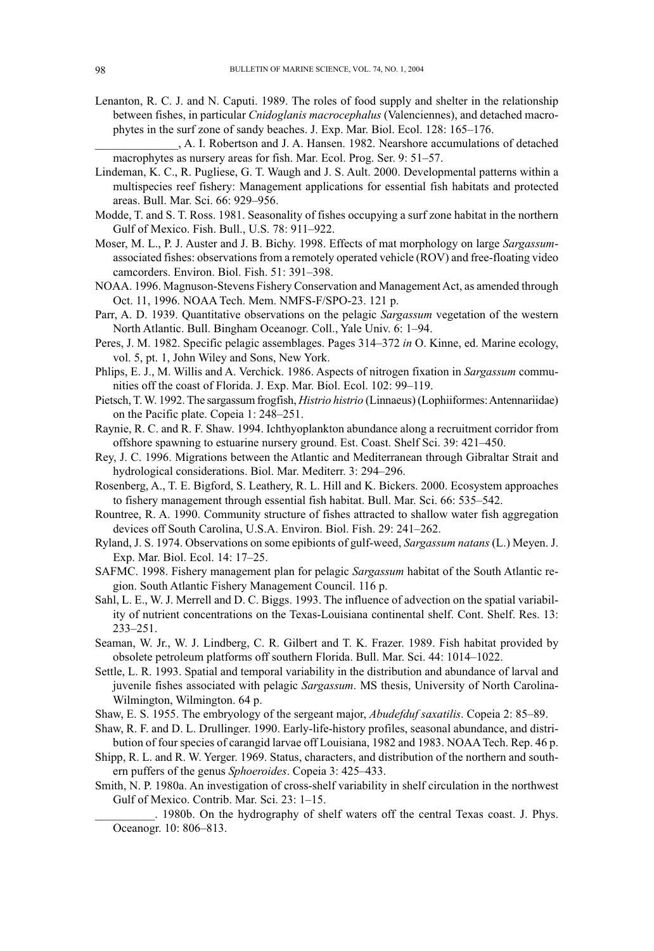Lenanton, R. C. J. and N. Caputi. 1989. The roles of food supply and shelter in the relationship between fishes, in particular *Cnidoglanis macrocephalus* (Valenciennes), and detached macrophytes in the surf zone of sandy beaches. J. Exp. Mar. Biol. Ecol. 128: 165–176.

\_\_\_\_\_\_\_\_\_\_\_\_\_\_, A. I. Robertson and J. A. Hansen. 1982. Nearshore accumulations of detached macrophytes as nursery areas for fish. Mar. Ecol. Prog. Ser. 9: 51–57.

- Lindeman, K. C., R. Pugliese, G. T. Waugh and J. S. Ault. 2000. Developmental patterns within a multispecies reef fishery: Management applications for essential fish habitats and protected areas. Bull. Mar. Sci. 66: 929–956.
- Modde, T. and S. T. Ross. 1981. Seasonality of fishes occupying a surf zone habitat in the northern Gulf of Mexico. Fish. Bull., U.S. 78: 911–922.
- Moser, M. L., P. J. Auster and J. B. Bichy. 1998. Effects of mat morphology on large *Sargassum*associated fishes: observations from a remotely operated vehicle (ROV) and free-floating video camcorders. Environ. Biol. Fish. 51: 391–398.
- NOAA. 1996. Magnuson-Stevens Fishery Conservation and Management Act, as amended through Oct. 11, 1996. NOAA Tech. Mem. NMFS-F/SPO-23. 121 p.
- Parr, A. D. 1939. Quantitative observations on the pelagic *Sargassum* vegetation of the western North Atlantic. Bull. Bingham Oceanogr. Coll., Yale Univ. 6: 1–94.
- Peres, J. M. 1982. Specific pelagic assemblages. Pages 314–372 *in* O. Kinne, ed. Marine ecology, vol. 5, pt. 1, John Wiley and Sons, New York.
- Phlips, E. J., M. Willis and A. Verchick. 1986. Aspects of nitrogen fixation in *Sargassum* communities off the coast of Florida. J. Exp. Mar. Biol. Ecol. 102: 99–119.
- Pietsch, T. W. 1992. The sargassum frogfish, *Histrio histrio* (Linnaeus) (Lophiiformes: Antennariidae) on the Pacific plate. Copeia 1: 248–251.
- Raynie, R. C. and R. F. Shaw. 1994. Ichthyoplankton abundance along a recruitment corridor from offshore spawning to estuarine nursery ground. Est. Coast. Shelf Sci. 39: 421–450.
- Rey, J. C. 1996. Migrations between the Atlantic and Mediterranean through Gibraltar Strait and hydrological considerations. Biol. Mar. Mediterr. 3: 294–296.
- Rosenberg, A., T. E. Bigford, S. Leathery, R. L. Hill and K. Bickers. 2000. Ecosystem approaches to fishery management through essential fish habitat. Bull. Mar. Sci. 66: 535–542.
- Rountree, R. A. 1990. Community structure of fishes attracted to shallow water fish aggregation devices off South Carolina, U.S.A. Environ. Biol. Fish. 29: 241–262.
- Ryland, J. S. 1974. Observations on some epibionts of gulf-weed, *Sargassum natans* (L.) Meyen. J. Exp. Mar. Biol. Ecol. 14: 17–25.
- SAFMC. 1998. Fishery management plan for pelagic *Sargassum* habitat of the South Atlantic region. South Atlantic Fishery Management Council. 116 p.
- Sahl, L. E., W. J. Merrell and D. C. Biggs. 1993. The influence of advection on the spatial variability of nutrient concentrations on the Texas-Louisiana continental shelf. Cont. Shelf. Res. 13: 233–251.
- Seaman, W. Jr., W. J. Lindberg, C. R. Gilbert and T. K. Frazer. 1989. Fish habitat provided by obsolete petroleum platforms off southern Florida. Bull. Mar. Sci. 44: 1014–1022.
- Settle, L. R. 1993. Spatial and temporal variability in the distribution and abundance of larval and juvenile fishes associated with pelagic *Sargassum*. MS thesis, University of North Carolina-Wilmington, Wilmington. 64 p.
- Shaw, E. S. 1955. The embryology of the sergeant major, *Abudefduf saxatilis*. Copeia 2: 85–89.
- Shaw, R. F. and D. L. Drullinger. 1990. Early-life-history profiles, seasonal abundance, and distribution of four species of carangid larvae off Louisiana, 1982 and 1983. NOAA Tech. Rep. 46 p.
- Shipp, R. L. and R. W. Yerger. 1969. Status, characters, and distribution of the northern and southern puffers of the genus *Sphoeroides*. Copeia 3: 425–433.
- Smith, N. P. 1980a. An investigation of cross-shelf variability in shelf circulation in the northwest Gulf of Mexico. Contrib. Mar. Sci. 23: 1–15.

\_\_\_\_\_\_\_\_\_\_. 1980b. On the hydrography of shelf waters off the central Texas coast. J. Phys. Oceanogr. 10: 806–813.